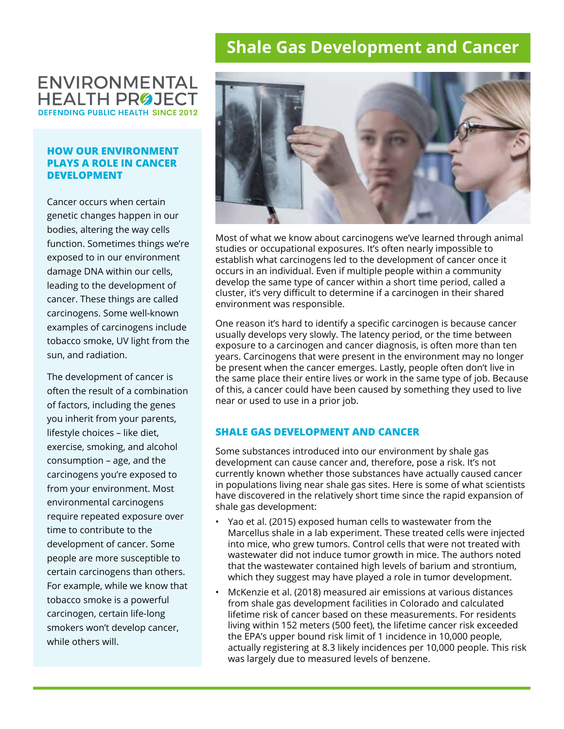# **Shale Gas Development and Cancer**

## **ENVIRONMENTAL HEALTH PRØJECT DEFENDING PUBLIC HEALTH SINCE 2012**

#### **HOW OUR ENVIRONMENT PLAYS A ROLE IN CANCER DEVELOPMENT**

Cancer occurs when certain genetic changes happen in our bodies, altering the way cells function. Sometimes things we're exposed to in our environment damage DNA within our cells, leading to the development of cancer. These things are called carcinogens. Some well-known examples of carcinogens include tobacco smoke, UV light from the sun, and radiation.

The development of cancer is often the result of a combination of factors, including the genes you inherit from your parents, lifestyle choices – like diet, exercise, smoking, and alcohol consumption – age, and the carcinogens you're exposed to from your environment. Most environmental carcinogens require repeated exposure over time to contribute to the development of cancer. Some people are more susceptible to certain carcinogens than others. For example, while we know that tobacco smoke is a powerful carcinogen, certain life-long smokers won't develop cancer, while others will.



Most of what we know about carcinogens we've learned through animal studies or occupational exposures. It's often nearly impossible to establish what carcinogens led to the development of cancer once it occurs in an individual. Even if multiple people within a community develop the same type of cancer within a short time period, called a cluster, it's very difficult to determine if a carcinogen in their shared environment was responsible.

One reason it's hard to identify a specific carcinogen is because cancer usually develops very slowly. The latency period, or the time between exposure to a carcinogen and cancer diagnosis, is often more than ten years. Carcinogens that were present in the environment may no longer be present when the cancer emerges. Lastly, people often don't live in the same place their entire lives or work in the same type of job. Because of this, a cancer could have been caused by something they used to live near or used to use in a prior job.

### **SHALE GAS DEVELOPMENT AND CANCER**

Some substances introduced into our environment by shale gas development can cause cancer and, therefore, pose a risk. It's not currently known whether those substances have actually caused cancer in populations living near shale gas sites. Here is some of what scientists have discovered in the relatively short time since the rapid expansion of shale gas development:

- Yao et al. (2015) exposed human cells to wastewater from the Marcellus shale in a lab experiment. These treated cells were injected into mice, who grew tumors. Control cells that were not treated with wastewater did not induce tumor growth in mice. The authors noted that the wastewater contained high levels of barium and strontium, which they suggest may have played a role in tumor development.
- McKenzie et al. (2018) measured air emissions at various distances from shale gas development facilities in Colorado and calculated lifetime risk of cancer based on these measurements. For residents living within 152 meters (500 feet), the lifetime cancer risk exceeded the EPA's upper bound risk limit of 1 incidence in 10,000 people, actually registering at 8.3 likely incidences per 10,000 people. This risk was largely due to measured levels of benzene.